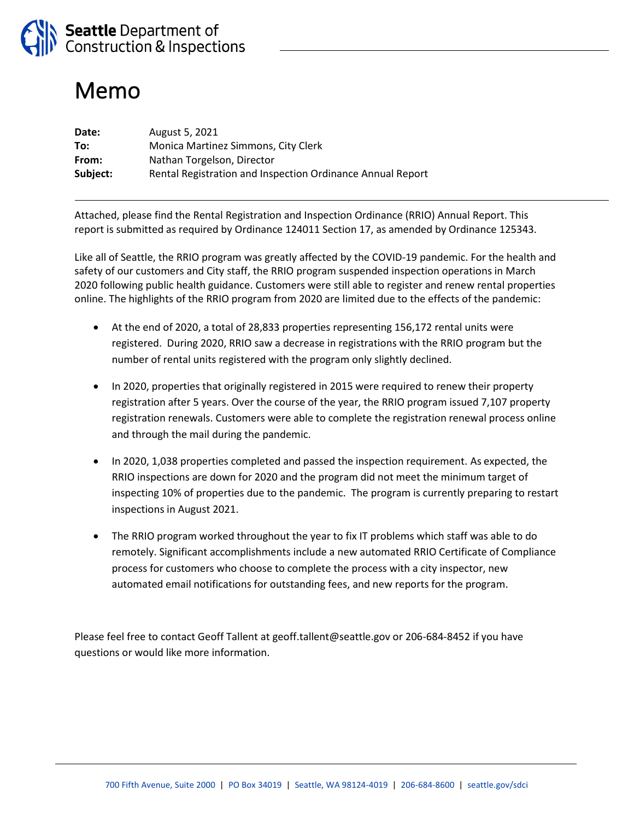

# Memo

| Date:    | August 5, 2021                                             |
|----------|------------------------------------------------------------|
| To:      | Monica Martinez Simmons, City Clerk                        |
| From:    | Nathan Torgelson, Director                                 |
| Subject: | Rental Registration and Inspection Ordinance Annual Report |

Attached, please find the Rental Registration and Inspection Ordinance (RRIO) Annual Report. This report is submitted as required by Ordinance 124011 Section 17, as amended by Ordinance 125343.

Like all of Seattle, the RRIO program was greatly affected by the COVID-19 pandemic. For the health and safety of our customers and City staff, the RRIO program suspended inspection operations in March 2020 following public health guidance. Customers were still able to register and renew rental properties online. The highlights of the RRIO program from 2020 are limited due to the effects of the pandemic:

- At the end of 2020, a total of 28,833 properties representing 156,172 rental units were registered. During 2020, RRIO saw a decrease in registrations with the RRIO program but the number of rental units registered with the program only slightly declined.
- In 2020, properties that originally registered in 2015 were required to renew their property registration after 5 years. Over the course of the year, the RRIO program issued 7,107 property registration renewals. Customers were able to complete the registration renewal process online and through the mail during the pandemic.
- In 2020, 1,038 properties completed and passed the inspection requirement. As expected, the RRIO inspections are down for 2020 and the program did not meet the minimum target of inspecting 10% of properties due to the pandemic. The program is currently preparing to restart inspections in August 2021.
- The RRIO program worked throughout the year to fix IT problems which staff was able to do remotely. Significant accomplishments include a new automated RRIO Certificate of Compliance process for customers who choose to complete the process with a city inspector, new automated email notifications for outstanding fees, and new reports for the program.

Please feel free to contact Geoff Tallent at geoff.tallent@seattle.gov or 206-684-8452 if you have questions or would like more information.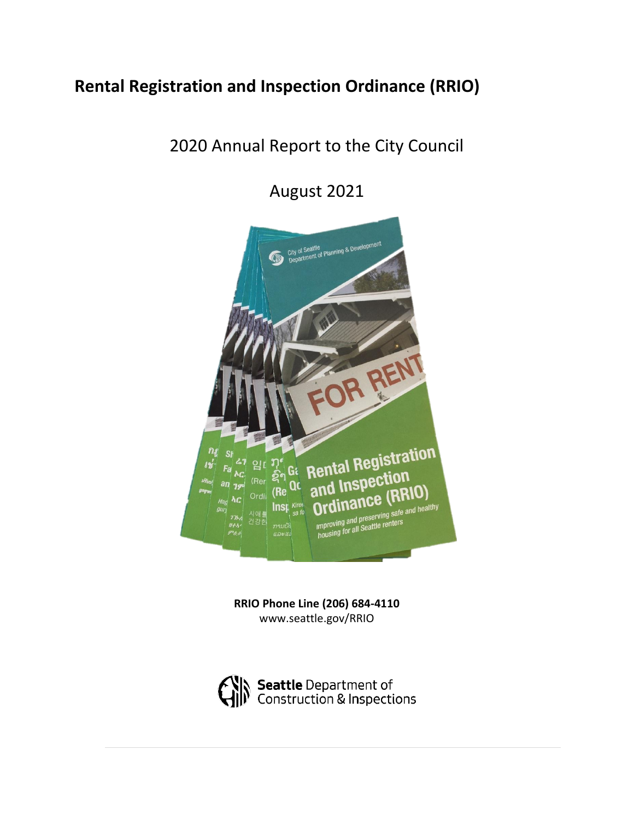## **Rental Registration and Inspection Ordinance (RRIO)**

## 2020 Annual Report to the City Council

August 2021



**RRIO Phone Line (206) 684-4110** www.seattle.gov/RRIO

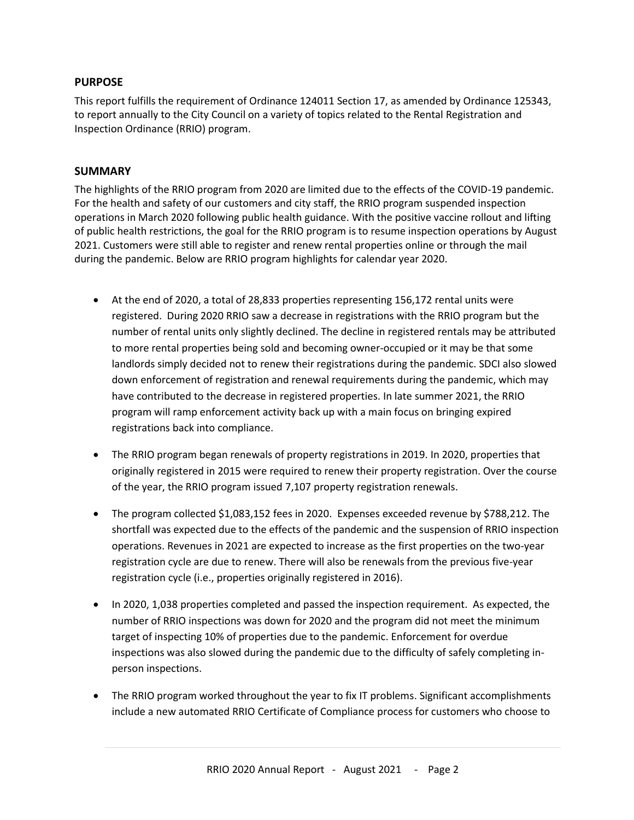## **PURPOSE**

This report fulfills the requirement of Ordinance 124011 Section 17, as amended by Ordinance 125343, to report annually to the City Council on a variety of topics related to the Rental Registration and Inspection Ordinance (RRIO) program.

## **SUMMARY**

The highlights of the RRIO program from 2020 are limited due to the effects of the COVID-19 pandemic. For the health and safety of our customers and city staff, the RRIO program suspended inspection operations in March 2020 following public health guidance. With the positive vaccine rollout and lifting of public health restrictions, the goal for the RRIO program is to resume inspection operations by August 2021. Customers were still able to register and renew rental properties online or through the mail during the pandemic. Below are RRIO program highlights for calendar year 2020.

- At the end of 2020, a total of 28,833 properties representing 156,172 rental units were registered. During 2020 RRIO saw a decrease in registrations with the RRIO program but the number of rental units only slightly declined. The decline in registered rentals may be attributed to more rental properties being sold and becoming owner-occupied or it may be that some landlords simply decided not to renew their registrations during the pandemic. SDCI also slowed down enforcement of registration and renewal requirements during the pandemic, which may have contributed to the decrease in registered properties. In late summer 2021, the RRIO program will ramp enforcement activity back up with a main focus on bringing expired registrations back into compliance.
- The RRIO program began renewals of property registrations in 2019. In 2020, properties that originally registered in 2015 were required to renew their property registration. Over the course of the year, the RRIO program issued 7,107 property registration renewals.
- The program collected \$1,083,152 fees in 2020. Expenses exceeded revenue by \$788,212. The shortfall was expected due to the effects of the pandemic and the suspension of RRIO inspection operations. Revenues in 2021 are expected to increase as the first properties on the two-year registration cycle are due to renew. There will also be renewals from the previous five-year registration cycle (i.e., properties originally registered in 2016).
- In 2020, 1,038 properties completed and passed the inspection requirement. As expected, the number of RRIO inspections was down for 2020 and the program did not meet the minimum target of inspecting 10% of properties due to the pandemic. Enforcement for overdue inspections was also slowed during the pandemic due to the difficulty of safely completing inperson inspections.
- The RRIO program worked throughout the year to fix IT problems. Significant accomplishments include a new automated RRIO Certificate of Compliance process for customers who choose to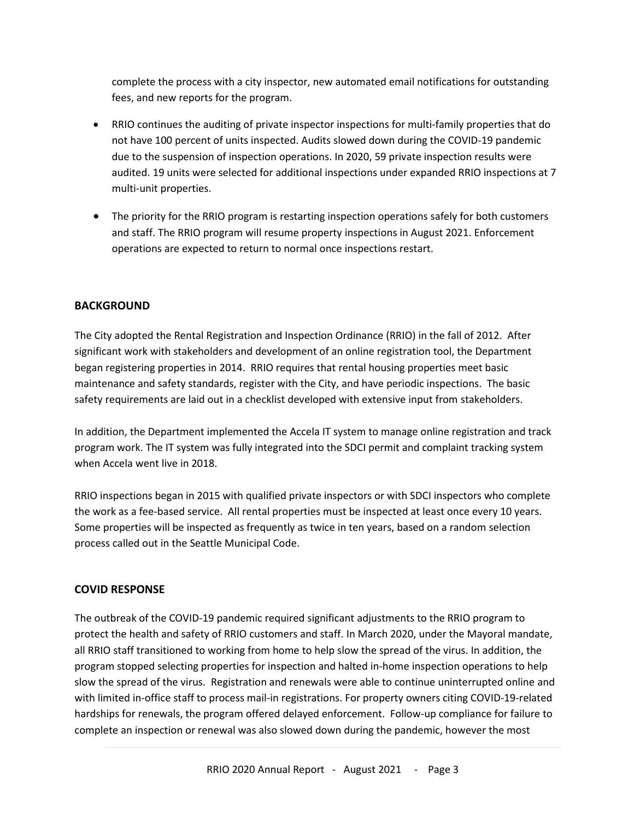complete the process with a city inspector, new automated email notifications for outstanding fees, and new reports for the program.

- RRIO continues the auditing of private inspector inspections for multi-family properties that do not have 100 percent of units inspected. Audits slowed down during the COVID-19 pandemic due to the suspension of inspection operations. In 2020, 59 private inspection results were audited. 19 units were selected for additional inspections under expanded RRIO inspections at 7 multi-unit properties.
- The priority for the RRIO program is restarting inspection operations safely for both customers and staff. The RRIO program will resume property inspections in August 2021. Enforcement operations are expected to return to normal once inspections restart.

## **BACKGROUND**

The City adopted the Rental Registration and Inspection Ordinance (RRIO) in the fall of 2012. After significant work with stakeholders and development of an online registration tool, the Department began registering properties in 2014. RRIO requires that rental housing properties meet basic maintenance and safety standards, register with the City, and have periodic inspections. The basic safety requirements are laid out in a checklist developed with extensive input from stakeholders.

In addition, the Department implemented the Accela IT system to manage online registration and track program work. The IT system was fully integrated into the SDCI permit and complaint tracking system when Accela went live in 2018.

RRIO inspections began in 2015 with qualified private inspectors or with SDCI inspectors who complete the work as a fee-based service. All rental properties must be inspected at least once every 10 years. Some properties will be inspected as frequently as twice in ten years, based on a random selection process called out in the Seattle Municipal Code.

## **COVID RESPONSE**

The outbreak of the COVID-19 pandemic required significant adjustments to the RRIO program to protect the health and safety of RRIO customers and staff. In March 2020, under the Mayoral mandate, all RRIO staff transitioned to working from home to help slow the spread of the virus. In addition, the program stopped selecting properties for inspection and halted in-home inspection operations to help slow the spread of the virus. Registration and renewals were able to continue uninterrupted online and with limited in-office staff to process mail-in registrations. For property owners citing COVID-19-related hardships for renewals, the program offered delayed enforcement. Follow-up compliance for failure to complete an inspection or renewal was also slowed down during the pandemic, however the most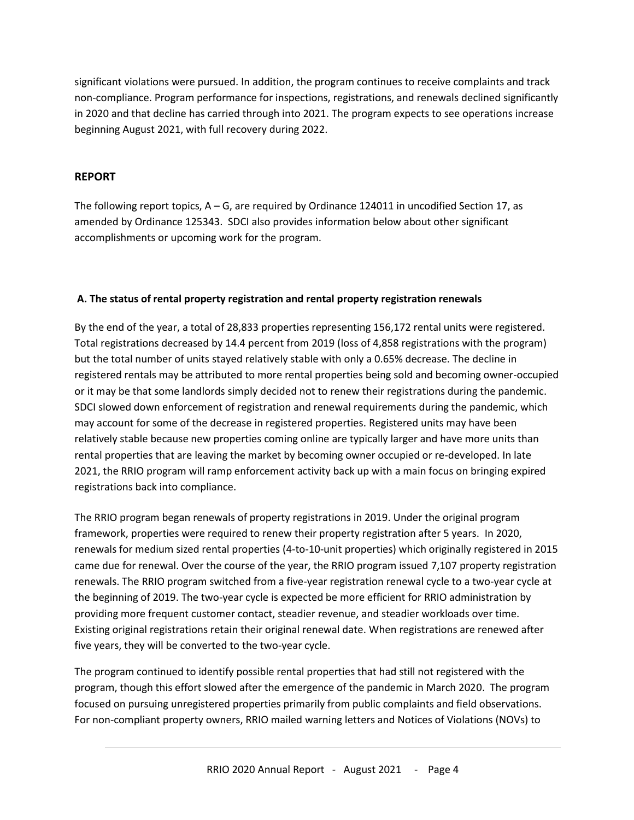significant violations were pursued. In addition, the program continues to receive complaints and track non-compliance. Program performance for inspections, registrations, and renewals declined significantly in 2020 and that decline has carried through into 2021. The program expects to see operations increase beginning August 2021, with full recovery during 2022.

## **REPORT**

The following report topics,  $A - G$ , are required by Ordinance 124011 in uncodified Section 17, as amended by Ordinance 125343. SDCI also provides information below about other significant accomplishments or upcoming work for the program.

## **A. The status of rental property registration and rental property registration renewals**

By the end of the year, a total of 28,833 properties representing 156,172 rental units were registered. Total registrations decreased by 14.4 percent from 2019 (loss of 4,858 registrations with the program) but the total number of units stayed relatively stable with only a 0.65% decrease. The decline in registered rentals may be attributed to more rental properties being sold and becoming owner-occupied or it may be that some landlords simply decided not to renew their registrations during the pandemic. SDCI slowed down enforcement of registration and renewal requirements during the pandemic, which may account for some of the decrease in registered properties. Registered units may have been relatively stable because new properties coming online are typically larger and have more units than rental properties that are leaving the market by becoming owner occupied or re-developed. In late 2021, the RRIO program will ramp enforcement activity back up with a main focus on bringing expired registrations back into compliance.

The RRIO program began renewals of property registrations in 2019. Under the original program framework, properties were required to renew their property registration after 5 years. In 2020, renewals for medium sized rental properties (4-to-10-unit properties) which originally registered in 2015 came due for renewal. Over the course of the year, the RRIO program issued 7,107 property registration renewals. The RRIO program switched from a five-year registration renewal cycle to a two-year cycle at the beginning of 2019. The two-year cycle is expected be more efficient for RRIO administration by providing more frequent customer contact, steadier revenue, and steadier workloads over time. Existing original registrations retain their original renewal date. When registrations are renewed after five years, they will be converted to the two-year cycle.

The program continued to identify possible rental properties that had still not registered with the program, though this effort slowed after the emergence of the pandemic in March 2020. The program focused on pursuing unregistered properties primarily from public complaints and field observations. For non-compliant property owners, RRIO mailed warning letters and Notices of Violations (NOVs) to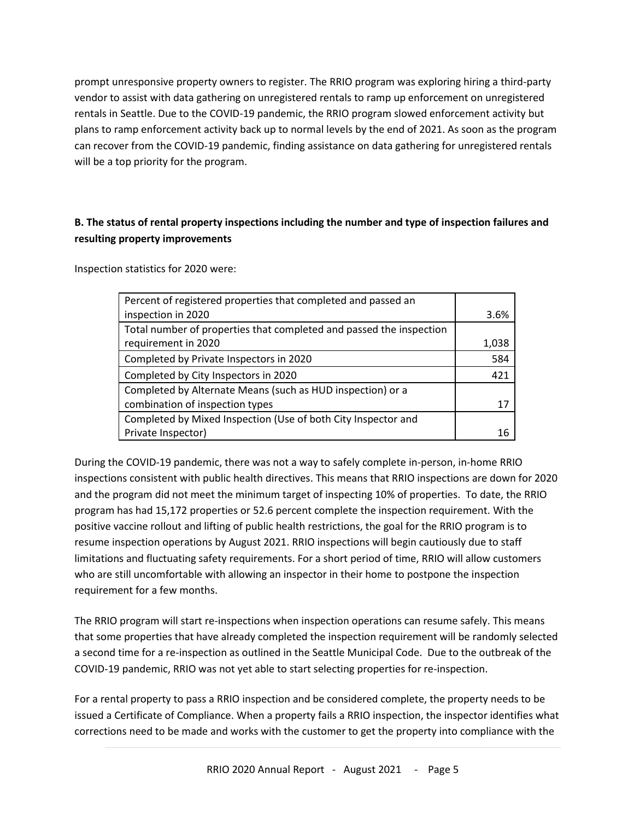prompt unresponsive property owners to register. The RRIO program was exploring hiring a third-party vendor to assist with data gathering on unregistered rentals to ramp up enforcement on unregistered rentals in Seattle. Due to the COVID-19 pandemic, the RRIO program slowed enforcement activity but plans to ramp enforcement activity back up to normal levels by the end of 2021. As soon as the program can recover from the COVID-19 pandemic, finding assistance on data gathering for unregistered rentals will be a top priority for the program.

## **B. The status of rental property inspections including the number and type of inspection failures and resulting property improvements**

Inspection statistics for 2020 were:

| Percent of registered properties that completed and passed an       |       |
|---------------------------------------------------------------------|-------|
| inspection in 2020                                                  | 3.6%  |
| Total number of properties that completed and passed the inspection |       |
| requirement in 2020                                                 | 1,038 |
| Completed by Private Inspectors in 2020                             | 584   |
| Completed by City Inspectors in 2020                                | 421   |
| Completed by Alternate Means (such as HUD inspection) or a          |       |
| combination of inspection types                                     | 17    |
| Completed by Mixed Inspection (Use of both City Inspector and       |       |
| Private Inspector)                                                  |       |

During the COVID-19 pandemic, there was not a way to safely complete in-person, in-home RRIO inspections consistent with public health directives. This means that RRIO inspections are down for 2020 and the program did not meet the minimum target of inspecting 10% of properties. To date, the RRIO program has had 15,172 properties or 52.6 percent complete the inspection requirement. With the positive vaccine rollout and lifting of public health restrictions, the goal for the RRIO program is to resume inspection operations by August 2021. RRIO inspections will begin cautiously due to staff limitations and fluctuating safety requirements. For a short period of time, RRIO will allow customers who are still uncomfortable with allowing an inspector in their home to postpone the inspection requirement for a few months.

The RRIO program will start re-inspections when inspection operations can resume safely. This means that some properties that have already completed the inspection requirement will be randomly selected a second time for a re-inspection as outlined in the Seattle Municipal Code. Due to the outbreak of the COVID-19 pandemic, RRIO was not yet able to start selecting properties for re-inspection.

For a rental property to pass a RRIO inspection and be considered complete, the property needs to be issued a Certificate of Compliance. When a property fails a RRIO inspection, the inspector identifies what corrections need to be made and works with the customer to get the property into compliance with the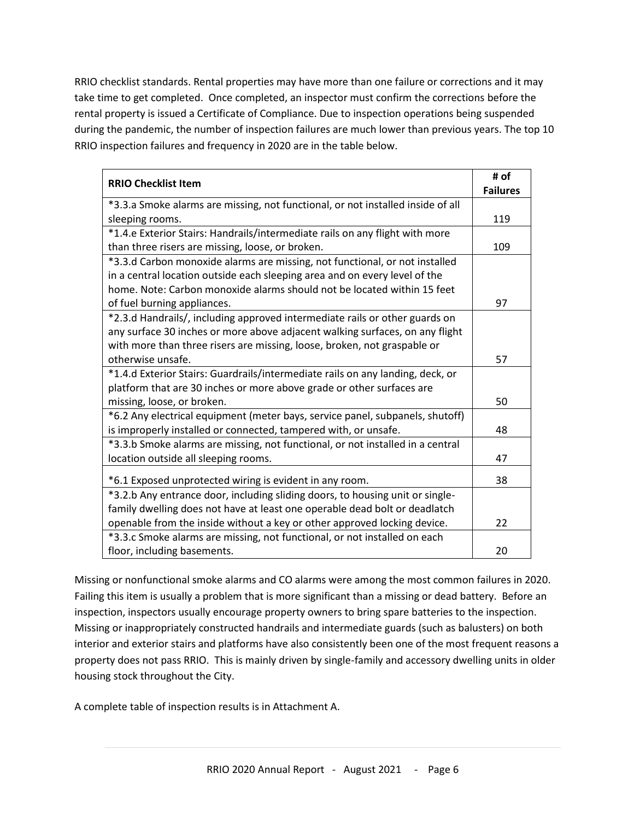RRIO checklist standards. Rental properties may have more than one failure or corrections and it may take time to get completed. Once completed, an inspector must confirm the corrections before the rental property is issued a Certificate of Compliance. Due to inspection operations being suspended during the pandemic, the number of inspection failures are much lower than previous years. The top 10 RRIO inspection failures and frequency in 2020 are in the table below.

|                                                                                 | # of            |
|---------------------------------------------------------------------------------|-----------------|
| <b>RRIO Checklist Item</b>                                                      | <b>Failures</b> |
| *3.3.a Smoke alarms are missing, not functional, or not installed inside of all |                 |
| sleeping rooms.                                                                 | 119             |
| *1.4.e Exterior Stairs: Handrails/intermediate rails on any flight with more    |                 |
| than three risers are missing, loose, or broken.                                | 109             |
| *3.3.d Carbon monoxide alarms are missing, not functional, or not installed     |                 |
| in a central location outside each sleeping area and on every level of the      |                 |
| home. Note: Carbon monoxide alarms should not be located within 15 feet         |                 |
| of fuel burning appliances.                                                     | 97              |
| *2.3.d Handrails/, including approved intermediate rails or other guards on     |                 |
| any surface 30 inches or more above adjacent walking surfaces, on any flight    |                 |
| with more than three risers are missing, loose, broken, not graspable or        |                 |
| otherwise unsafe.                                                               | 57              |
| *1.4.d Exterior Stairs: Guardrails/intermediate rails on any landing, deck, or  |                 |
| platform that are 30 inches or more above grade or other surfaces are           |                 |
| missing, loose, or broken.                                                      | 50              |
| *6.2 Any electrical equipment (meter bays, service panel, subpanels, shutoff)   |                 |
| is improperly installed or connected, tampered with, or unsafe.                 | 48              |
| *3.3.b Smoke alarms are missing, not functional, or not installed in a central  |                 |
| location outside all sleeping rooms.                                            | 47              |
| *6.1 Exposed unprotected wiring is evident in any room.                         | 38              |
| *3.2.b Any entrance door, including sliding doors, to housing unit or single-   |                 |
|                                                                                 |                 |
| family dwelling does not have at least one operable dead bolt or deadlatch      | 22              |
| openable from the inside without a key or other approved locking device.        |                 |
| *3.3.c Smoke alarms are missing, not functional, or not installed on each       |                 |
| floor, including basements.                                                     | 20              |

Missing or nonfunctional smoke alarms and CO alarms were among the most common failures in 2020. Failing this item is usually a problem that is more significant than a missing or dead battery. Before an inspection, inspectors usually encourage property owners to bring spare batteries to the inspection. Missing or inappropriately constructed handrails and intermediate guards (such as balusters) on both interior and exterior stairs and platforms have also consistently been one of the most frequent reasons a property does not pass RRIO. This is mainly driven by single-family and accessory dwelling units in older housing stock throughout the City.

A complete table of inspection results is in Attachment A.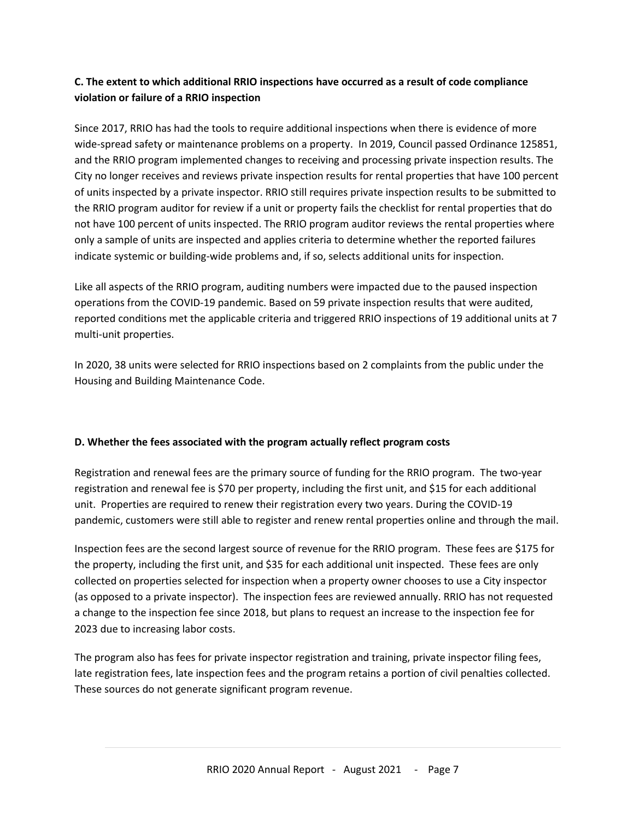## **C. The extent to which additional RRIO inspections have occurred as a result of code compliance violation or failure of a RRIO inspection**

Since 2017, RRIO has had the tools to require additional inspections when there is evidence of more wide-spread safety or maintenance problems on a property. In 2019, Council passed Ordinance 125851, and the RRIO program implemented changes to receiving and processing private inspection results. The City no longer receives and reviews private inspection results for rental properties that have 100 percent of units inspected by a private inspector. RRIO still requires private inspection results to be submitted to the RRIO program auditor for review if a unit or property fails the checklist for rental properties that do not have 100 percent of units inspected. The RRIO program auditor reviews the rental properties where only a sample of units are inspected and applies criteria to determine whether the reported failures indicate systemic or building-wide problems and, if so, selects additional units for inspection.

Like all aspects of the RRIO program, auditing numbers were impacted due to the paused inspection operations from the COVID-19 pandemic. Based on 59 private inspection results that were audited, reported conditions met the applicable criteria and triggered RRIO inspections of 19 additional units at 7 multi-unit properties.

In 2020, 38 units were selected for RRIO inspections based on 2 complaints from the public under the Housing and Building Maintenance Code.

## **D. Whether the fees associated with the program actually reflect program costs**

Registration and renewal fees are the primary source of funding for the RRIO program. The two-year registration and renewal fee is \$70 per property, including the first unit, and \$15 for each additional unit. Properties are required to renew their registration every two years. During the COVID-19 pandemic, customers were still able to register and renew rental properties online and through the mail.

Inspection fees are the second largest source of revenue for the RRIO program. These fees are \$175 for the property, including the first unit, and \$35 for each additional unit inspected. These fees are only collected on properties selected for inspection when a property owner chooses to use a City inspector (as opposed to a private inspector). The inspection fees are reviewed annually. RRIO has not requested a change to the inspection fee since 2018, but plans to request an increase to the inspection fee for 2023 due to increasing labor costs.

The program also has fees for private inspector registration and training, private inspector filing fees, late registration fees, late inspection fees and the program retains a portion of civil penalties collected. These sources do not generate significant program revenue.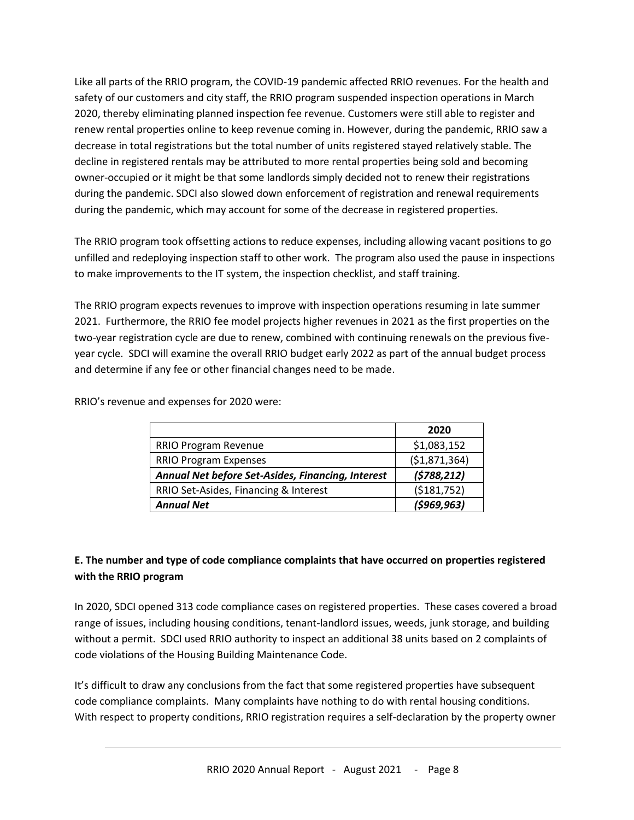Like all parts of the RRIO program, the COVID-19 pandemic affected RRIO revenues. For the health and safety of our customers and city staff, the RRIO program suspended inspection operations in March 2020, thereby eliminating planned inspection fee revenue. Customers were still able to register and renew rental properties online to keep revenue coming in. However, during the pandemic, RRIO saw a decrease in total registrations but the total number of units registered stayed relatively stable. The decline in registered rentals may be attributed to more rental properties being sold and becoming owner-occupied or it might be that some landlords simply decided not to renew their registrations during the pandemic. SDCI also slowed down enforcement of registration and renewal requirements during the pandemic, which may account for some of the decrease in registered properties.

The RRIO program took offsetting actions to reduce expenses, including allowing vacant positions to go unfilled and redeploying inspection staff to other work. The program also used the pause in inspections to make improvements to the IT system, the inspection checklist, and staff training.

The RRIO program expects revenues to improve with inspection operations resuming in late summer 2021. Furthermore, the RRIO fee model projects higher revenues in 2021 as the first properties on the two-year registration cycle are due to renew, combined with continuing renewals on the previous fiveyear cycle. SDCI will examine the overall RRIO budget early 2022 as part of the annual budget process and determine if any fee or other financial changes need to be made.

RRIO's revenue and expenses for 2020 were:

|                                                   | 2020          |
|---------------------------------------------------|---------------|
| RRIO Program Revenue                              | \$1,083,152   |
| <b>RRIO Program Expenses</b>                      | (\$1,871,364) |
| Annual Net before Set-Asides, Financing, Interest | (5788, 212)   |
| RRIO Set-Asides, Financing & Interest             | ( \$181,752)  |
| <b>Annual Net</b>                                 | (5969, 963)   |

## **E. The number and type of code compliance complaints that have occurred on properties registered with the RRIO program**

In 2020, SDCI opened 313 code compliance cases on registered properties. These cases covered a broad range of issues, including housing conditions, tenant-landlord issues, weeds, junk storage, and building without a permit. SDCI used RRIO authority to inspect an additional 38 units based on 2 complaints of code violations of the Housing Building Maintenance Code.

It's difficult to draw any conclusions from the fact that some registered properties have subsequent code compliance complaints. Many complaints have nothing to do with rental housing conditions. With respect to property conditions, RRIO registration requires a self-declaration by the property owner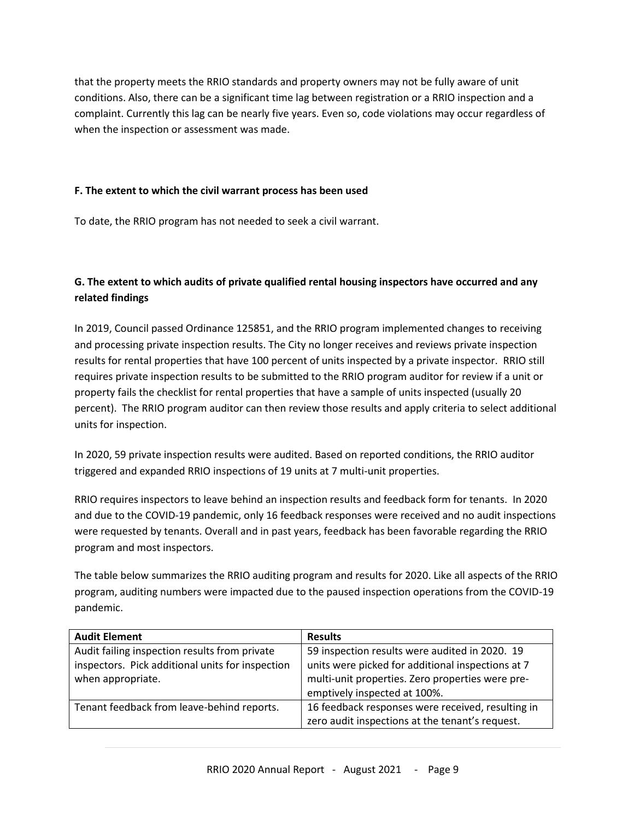that the property meets the RRIO standards and property owners may not be fully aware of unit conditions. Also, there can be a significant time lag between registration or a RRIO inspection and a complaint. Currently this lag can be nearly five years. Even so, code violations may occur regardless of when the inspection or assessment was made.

## **F. The extent to which the civil warrant process has been used**

To date, the RRIO program has not needed to seek a civil warrant.

## **G. The extent to which audits of private qualified rental housing inspectors have occurred and any related findings**

In 2019, Council passed Ordinance 125851, and the RRIO program implemented changes to receiving and processing private inspection results. The City no longer receives and reviews private inspection results for rental properties that have 100 percent of units inspected by a private inspector. RRIO still requires private inspection results to be submitted to the RRIO program auditor for review if a unit or property fails the checklist for rental properties that have a sample of units inspected (usually 20 percent). The RRIO program auditor can then review those results and apply criteria to select additional units for inspection.

In 2020, 59 private inspection results were audited. Based on reported conditions, the RRIO auditor triggered and expanded RRIO inspections of 19 units at 7 multi-unit properties.

RRIO requires inspectors to leave behind an inspection results and feedback form for tenants. In 2020 and due to the COVID-19 pandemic, only 16 feedback responses were received and no audit inspections were requested by tenants. Overall and in past years, feedback has been favorable regarding the RRIO program and most inspectors.

The table below summarizes the RRIO auditing program and results for 2020. Like all aspects of the RRIO program, auditing numbers were impacted due to the paused inspection operations from the COVID-19 pandemic.

| <b>Audit Element</b>                                                                                                   | <b>Results</b>                                                                                                                                                                          |
|------------------------------------------------------------------------------------------------------------------------|-----------------------------------------------------------------------------------------------------------------------------------------------------------------------------------------|
| Audit failing inspection results from private<br>inspectors. Pick additional units for inspection<br>when appropriate. | 59 inspection results were audited in 2020. 19<br>units were picked for additional inspections at 7<br>multi-unit properties. Zero properties were pre-<br>emptively inspected at 100%. |
| Tenant feedback from leave-behind reports.                                                                             | 16 feedback responses were received, resulting in<br>zero audit inspections at the tenant's request.                                                                                    |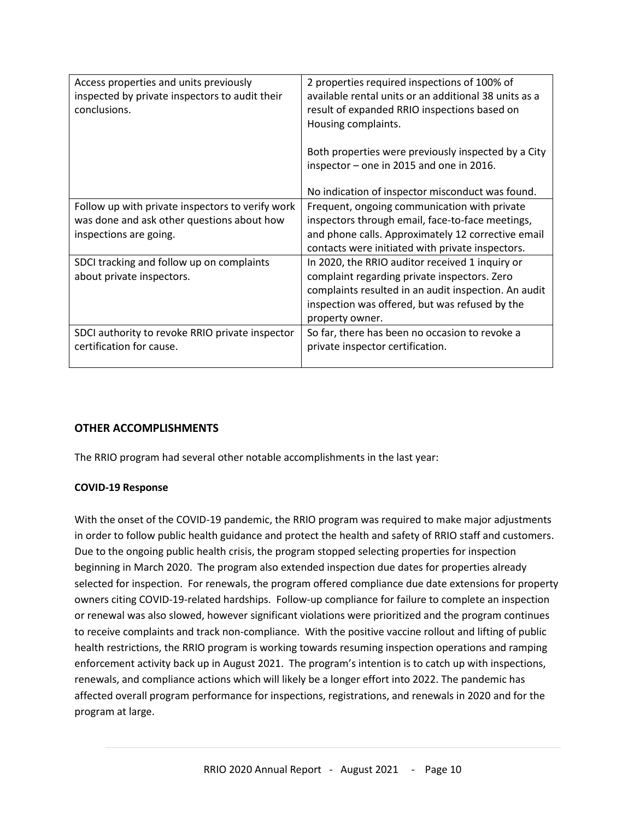| Access properties and units previously           | 2 properties required inspections of 100% of          |  |
|--------------------------------------------------|-------------------------------------------------------|--|
| inspected by private inspectors to audit their   | available rental units or an additional 38 units as a |  |
| conclusions.                                     | result of expanded RRIO inspections based on          |  |
|                                                  | Housing complaints.                                   |  |
|                                                  |                                                       |  |
|                                                  | Both properties were previously inspected by a City   |  |
|                                                  | inspector - one in 2015 and one in 2016.              |  |
|                                                  |                                                       |  |
|                                                  | No indication of inspector misconduct was found.      |  |
| Follow up with private inspectors to verify work | Frequent, ongoing communication with private          |  |
| was done and ask other questions about how       | inspectors through email, face-to-face meetings,      |  |
| inspections are going.                           | and phone calls. Approximately 12 corrective email    |  |
|                                                  | contacts were initiated with private inspectors.      |  |
| SDCI tracking and follow up on complaints        | In 2020, the RRIO auditor received 1 inquiry or       |  |
| about private inspectors.                        | complaint regarding private inspectors. Zero          |  |
|                                                  | complaints resulted in an audit inspection. An audit  |  |
|                                                  | inspection was offered, but was refused by the        |  |
|                                                  | property owner.                                       |  |
| SDCI authority to revoke RRIO private inspector  | So far, there has been no occasion to revoke a        |  |
| certification for cause.                         | private inspector certification.                      |  |
|                                                  |                                                       |  |

## **OTHER ACCOMPLISHMENTS**

The RRIO program had several other notable accomplishments in the last year:

## **COVID-19 Response**

With the onset of the COVID-19 pandemic, the RRIO program was required to make major adjustments in order to follow public health guidance and protect the health and safety of RRIO staff and customers. Due to the ongoing public health crisis, the program stopped selecting properties for inspection beginning in March 2020. The program also extended inspection due dates for properties already selected for inspection. For renewals, the program offered compliance due date extensions for property owners citing COVID-19-related hardships. Follow-up compliance for failure to complete an inspection or renewal was also slowed, however significant violations were prioritized and the program continues to receive complaints and track non-compliance. With the positive vaccine rollout and lifting of public health restrictions, the RRIO program is working towards resuming inspection operations and ramping enforcement activity back up in August 2021. The program's intention is to catch up with inspections, renewals, and compliance actions which will likely be a longer effort into 2022. The pandemic has affected overall program performance for inspections, registrations, and renewals in 2020 and for the program at large.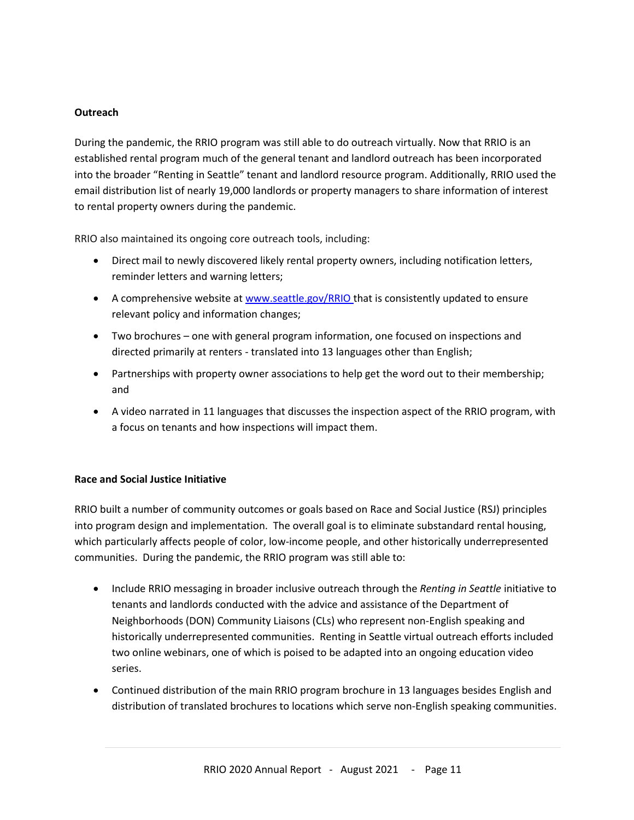## **Outreach**

During the pandemic, the RRIO program was still able to do outreach virtually. Now that RRIO is an established rental program much of the general tenant and landlord outreach has been incorporated into the broader "Renting in Seattle" tenant and landlord resource program. Additionally, RRIO used the email distribution list of nearly 19,000 landlords or property managers to share information of interest to rental property owners during the pandemic.

RRIO also maintained its ongoing core outreach tools, including:

- Direct mail to newly discovered likely rental property owners, including notification letters, reminder letters and warning letters;
- A comprehensive website at [www.seattle.gov/RRIO](http://www.seattle.gov/RRIO) that is consistently updated to ensure relevant policy and information changes;
- Two brochures one with general program information, one focused on inspections and directed primarily at renters - translated into 13 languages other than English;
- Partnerships with property owner associations to help get the word out to their membership; and
- A video narrated in 11 languages that discusses the inspection aspect of the RRIO program, with a focus on tenants and how inspections will impact them.

## **Race and Social Justice Initiative**

RRIO built a number of community outcomes or goals based on Race and Social Justice (RSJ) principles into program design and implementation. The overall goal is to eliminate substandard rental housing, which particularly affects people of color, low-income people, and other historically underrepresented communities. During the pandemic, the RRIO program was still able to:

- Include RRIO messaging in broader inclusive outreach through the *Renting in Seattle* initiative to tenants and landlords conducted with the advice and assistance of the Department of Neighborhoods (DON) Community Liaisons (CLs) who represent non-English speaking and historically underrepresented communities. Renting in Seattle virtual outreach efforts included two online webinars, one of which is poised to be adapted into an ongoing education video series.
- Continued distribution of the main RRIO program brochure in 13 languages besides English and distribution of translated brochures to locations which serve non-English speaking communities.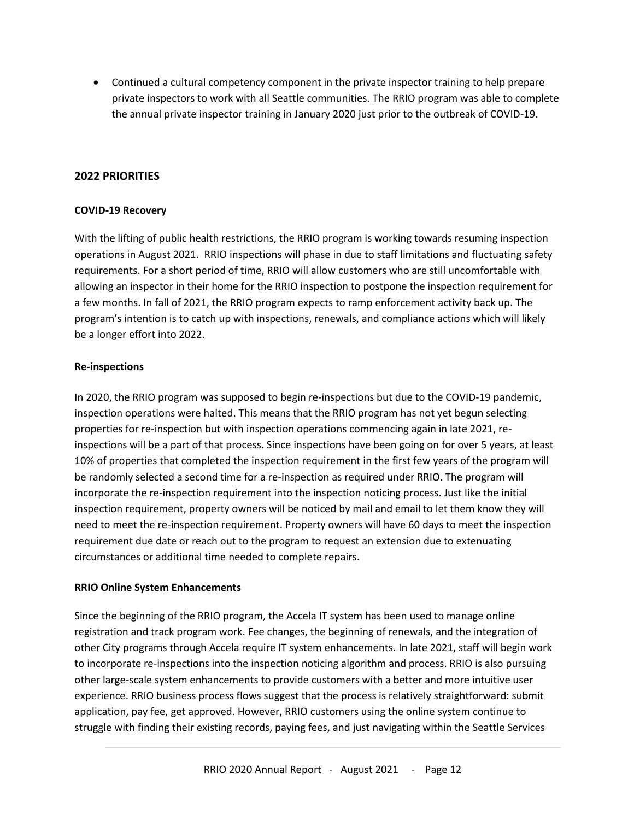• Continued a cultural competency component in the private inspector training to help prepare private inspectors to work with all Seattle communities. The RRIO program was able to complete the annual private inspector training in January 2020 just prior to the outbreak of COVID-19.

## **2022 PRIORITIES**

## **COVID-19 Recovery**

With the lifting of public health restrictions, the RRIO program is working towards resuming inspection operations in August 2021. RRIO inspections will phase in due to staff limitations and fluctuating safety requirements. For a short period of time, RRIO will allow customers who are still uncomfortable with allowing an inspector in their home for the RRIO inspection to postpone the inspection requirement for a few months. In fall of 2021, the RRIO program expects to ramp enforcement activity back up. The program's intention is to catch up with inspections, renewals, and compliance actions which will likely be a longer effort into 2022.

#### **Re-inspections**

In 2020, the RRIO program was supposed to begin re-inspections but due to the COVID-19 pandemic, inspection operations were halted. This means that the RRIO program has not yet begun selecting properties for re-inspection but with inspection operations commencing again in late 2021, reinspections will be a part of that process. Since inspections have been going on for over 5 years, at least 10% of properties that completed the inspection requirement in the first few years of the program will be randomly selected a second time for a re-inspection as required under RRIO. The program will incorporate the re-inspection requirement into the inspection noticing process. Just like the initial inspection requirement, property owners will be noticed by mail and email to let them know they will need to meet the re-inspection requirement. Property owners will have 60 days to meet the inspection requirement due date or reach out to the program to request an extension due to extenuating circumstances or additional time needed to complete repairs.

#### **RRIO Online System Enhancements**

Since the beginning of the RRIO program, the Accela IT system has been used to manage online registration and track program work. Fee changes, the beginning of renewals, and the integration of other City programs through Accela require IT system enhancements. In late 2021, staff will begin work to incorporate re-inspections into the inspection noticing algorithm and process. RRIO is also pursuing other large-scale system enhancements to provide customers with a better and more intuitive user experience. RRIO business process flows suggest that the process is relatively straightforward: submit application, pay fee, get approved. However, RRIO customers using the online system continue to struggle with finding their existing records, paying fees, and just navigating within the Seattle Services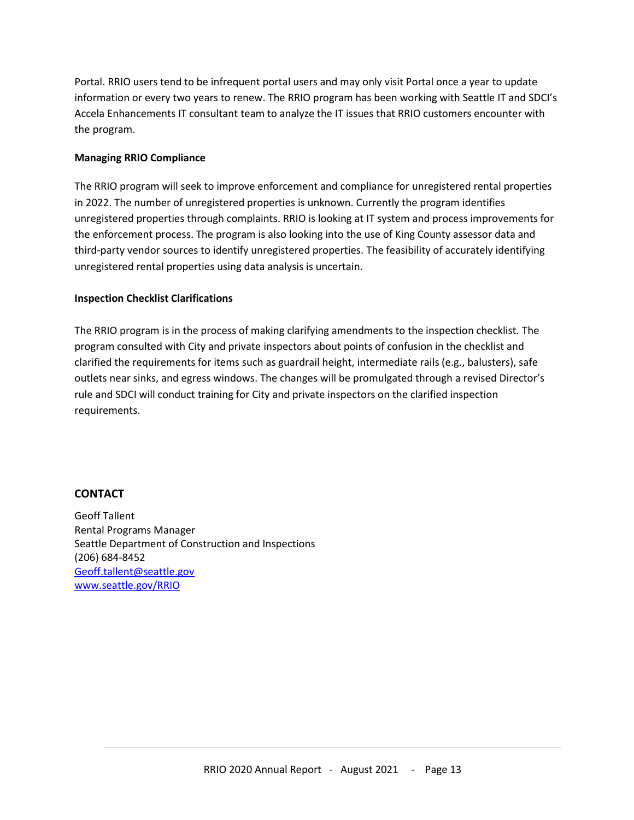Portal. RRIO users tend to be infrequent portal users and may only visit Portal once a year to update information or every two years to renew. The RRIO program has been working with Seattle IT and SDCI's Accela Enhancements IT consultant team to analyze the IT issues that RRIO customers encounter with the program.

## **Managing RRIO Compliance**

The RRIO program will seek to improve enforcement and compliance for unregistered rental properties in 2022. The number of unregistered properties is unknown. Currently the program identifies unregistered properties through complaints. RRIO is looking at IT system and process improvements for the enforcement process. The program is also looking into the use of King County assessor data and third-party vendor sources to identify unregistered properties. The feasibility of accurately identifying unregistered rental properties using data analysis is uncertain.

#### **Inspection Checklist Clarifications**

The RRIO program is in the process of making clarifying amendments to the inspection checklist. The program consulted with City and private inspectors about points of confusion in the checklist and clarified the requirements for items such as guardrail height, intermediate rails (e.g., balusters), safe outlets near sinks, and egress windows. The changes will be promulgated through a revised Director's rule and SDCI will conduct training for City and private inspectors on the clarified inspection requirements.

#### **CONTACT**

Geoff Tallent Rental Programs Manager Seattle Department of Construction and Inspections (206) 684-8452 [Geoff.tallent@seattle.gov](mailto:Geoff.tallent@seattle.gov) [www.seattle.gov/RRIO](http://www.seattle.gov/RRIO)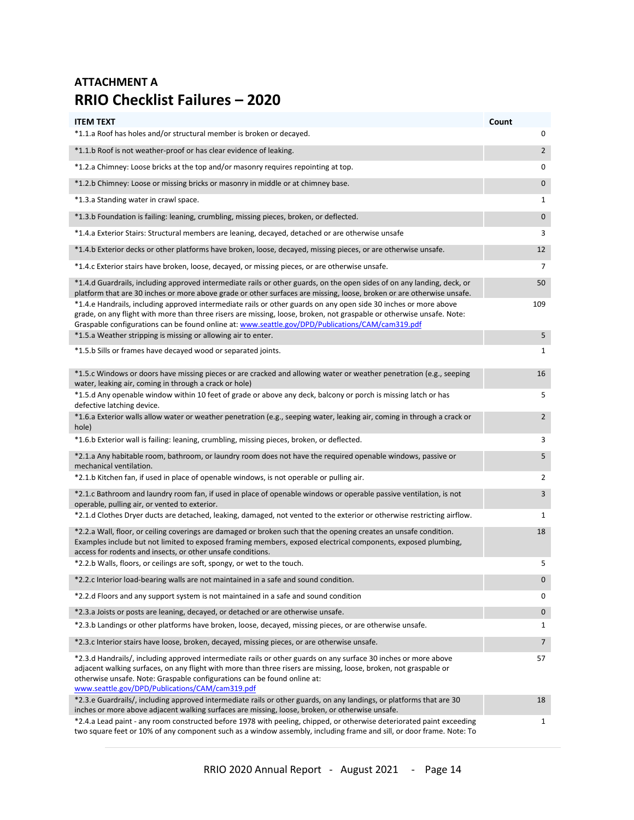## **ATTACHMENT A RRIO Checklist Failures – 2020**

| <b>ITEM TEXT</b>                                                                                                                                                                                                                                                                                                                                                                                                                                                                                                                                                                                                                                                   | Count               |
|--------------------------------------------------------------------------------------------------------------------------------------------------------------------------------------------------------------------------------------------------------------------------------------------------------------------------------------------------------------------------------------------------------------------------------------------------------------------------------------------------------------------------------------------------------------------------------------------------------------------------------------------------------------------|---------------------|
| *1.1.a Roof has holes and/or structural member is broken or decayed.                                                                                                                                                                                                                                                                                                                                                                                                                                                                                                                                                                                               | 0                   |
| *1.1.b Roof is not weather-proof or has clear evidence of leaking.                                                                                                                                                                                                                                                                                                                                                                                                                                                                                                                                                                                                 | $\overline{2}$      |
| *1.2.a Chimney: Loose bricks at the top and/or masonry requires repointing at top.                                                                                                                                                                                                                                                                                                                                                                                                                                                                                                                                                                                 | 0                   |
| *1.2.b Chimney: Loose or missing bricks or masonry in middle or at chimney base.                                                                                                                                                                                                                                                                                                                                                                                                                                                                                                                                                                                   | $\mathbf 0$         |
| *1.3.a Standing water in crawl space.                                                                                                                                                                                                                                                                                                                                                                                                                                                                                                                                                                                                                              | 1                   |
| *1.3.b Foundation is failing: leaning, crumbling, missing pieces, broken, or deflected.                                                                                                                                                                                                                                                                                                                                                                                                                                                                                                                                                                            | $\mathbf 0$         |
| 1.4.a Exterior Stairs: Structural members are leaning, decayed, detached or are otherwise unsafe.**                                                                                                                                                                                                                                                                                                                                                                                                                                                                                                                                                                | 3                   |
| *1.4.b Exterior decks or other platforms have broken, loose, decayed, missing pieces, or are otherwise unsafe.                                                                                                                                                                                                                                                                                                                                                                                                                                                                                                                                                     | 12                  |
| *1.4.c Exterior stairs have broken, loose, decayed, or missing pieces, or are otherwise unsafe.                                                                                                                                                                                                                                                                                                                                                                                                                                                                                                                                                                    | 7                   |
| *1.4.d Guardrails, including approved intermediate rails or other guards, on the open sides of on any landing, deck, or<br>platform that are 30 inches or more above grade or other surfaces are missing, loose, broken or are otherwise unsafe.<br>*1.4.e Handrails, including approved intermediate rails or other guards on any open side 30 inches or more above<br>grade, on any flight with more than three risers are missing, loose, broken, not graspable or otherwise unsafe. Note:<br>Graspable configurations can be found online at: www.seattle.gov/DPD/Publications/CAM/cam319.pdf<br>*1.5.a Weather stripping is missing or allowing air to enter. | 50<br>109<br>5      |
|                                                                                                                                                                                                                                                                                                                                                                                                                                                                                                                                                                                                                                                                    |                     |
| *1.5.b Sills or frames have decayed wood or separated joints.                                                                                                                                                                                                                                                                                                                                                                                                                                                                                                                                                                                                      | 1                   |
| *1.5.c Windows or doors have missing pieces or are cracked and allowing water or weather penetration (e.g., seeping<br>water, leaking air, coming in through a crack or hole)                                                                                                                                                                                                                                                                                                                                                                                                                                                                                      | 16                  |
| *1.5.d Any openable window within 10 feet of grade or above any deck, balcony or porch is missing latch or has<br>defective latching device.<br>*1.6.a Exterior walls allow water or weather penetration (e.g., seeping water, leaking air, coming in through a crack or                                                                                                                                                                                                                                                                                                                                                                                           | 5<br>$\overline{2}$ |
| hole)                                                                                                                                                                                                                                                                                                                                                                                                                                                                                                                                                                                                                                                              |                     |
| *1.6.b Exterior wall is failing: leaning, crumbling, missing pieces, broken, or deflected.                                                                                                                                                                                                                                                                                                                                                                                                                                                                                                                                                                         | 3                   |
| *2.1.a Any habitable room, bathroom, or laundry room does not have the required openable windows, passive or<br>mechanical ventilation.                                                                                                                                                                                                                                                                                                                                                                                                                                                                                                                            | 5                   |
| *2.1.b Kitchen fan, if used in place of openable windows, is not operable or pulling air.                                                                                                                                                                                                                                                                                                                                                                                                                                                                                                                                                                          | 2                   |
| *2.1.c Bathroom and laundry room fan, if used in place of openable windows or operable passive ventilation, is not<br>operable, pulling air, or vented to exterior.                                                                                                                                                                                                                                                                                                                                                                                                                                                                                                | 3                   |
| *2.1.d Clothes Dryer ducts are detached, leaking, damaged, not vented to the exterior or otherwise restricting airflow.                                                                                                                                                                                                                                                                                                                                                                                                                                                                                                                                            | $\mathbf{1}$        |
| *2.2.a Wall, floor, or ceiling coverings are damaged or broken such that the opening creates an unsafe condition.<br>Examples include but not limited to exposed framing members, exposed electrical components, exposed plumbing,<br>access for rodents and insects, or other unsafe conditions.                                                                                                                                                                                                                                                                                                                                                                  | 18                  |
| *2.2.b Walls, floors, or ceilings are soft, spongy, or wet to the touch.                                                                                                                                                                                                                                                                                                                                                                                                                                                                                                                                                                                           | 5                   |
| *2.2.c Interior load-bearing walls are not maintained in a safe and sound condition.                                                                                                                                                                                                                                                                                                                                                                                                                                                                                                                                                                               | 0                   |
| *2.2.d Floors and any support system is not maintained in a safe and sound condition                                                                                                                                                                                                                                                                                                                                                                                                                                                                                                                                                                               | 0                   |
| *2.3.a Joists or posts are leaning, decayed, or detached or are otherwise unsafe.                                                                                                                                                                                                                                                                                                                                                                                                                                                                                                                                                                                  | $\mathbf 0$         |
| *2.3.b Landings or other platforms have broken, loose, decayed, missing pieces, or are otherwise unsafe.                                                                                                                                                                                                                                                                                                                                                                                                                                                                                                                                                           | 1                   |
| *2.3.c Interior stairs have loose, broken, decayed, missing pieces, or are otherwise unsafe.                                                                                                                                                                                                                                                                                                                                                                                                                                                                                                                                                                       | $\overline{7}$      |
| *2.3.d Handrails/, including approved intermediate rails or other guards on any surface 30 inches or more above<br>adjacent walking surfaces, on any flight with more than three risers are missing, loose, broken, not graspable or<br>otherwise unsafe. Note: Graspable configurations can be found online at:<br>www.seattle.gov/DPD/Publications/CAM/cam319.pdf                                                                                                                                                                                                                                                                                                | 57                  |
| *2.3.e Guardrails/, including approved intermediate rails or other guards, on any landings, or platforms that are 30<br>inches or more above adjacent walking surfaces are missing, loose, broken, or otherwise unsafe.                                                                                                                                                                                                                                                                                                                                                                                                                                            | 18                  |
| *2.4.a Lead paint - any room constructed before 1978 with peeling, chipped, or otherwise deteriorated paint exceeding<br>two square feet or 10% of any component such as a window assembly, including frame and sill, or door frame. Note: To                                                                                                                                                                                                                                                                                                                                                                                                                      | 1                   |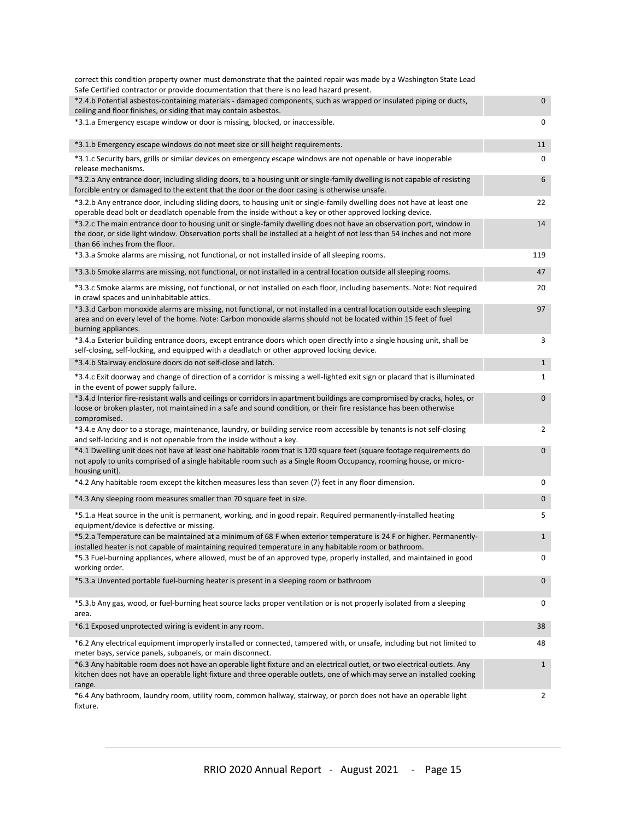| correct this condition property owner must demonstrate that the painted repair was made by a Washington State Lead<br>Safe Certified contractor or provide documentation that there is no lead hazard present.                                                                     |              |
|------------------------------------------------------------------------------------------------------------------------------------------------------------------------------------------------------------------------------------------------------------------------------------|--------------|
| *2.4.b Potential asbestos-containing materials - damaged components, such as wrapped or insulated piping or ducts,                                                                                                                                                                 | $\mathbf{0}$ |
| ceiling and floor finishes, or siding that may contain asbestos.                                                                                                                                                                                                                   |              |
| *3.1.a Emergency escape window or door is missing, blocked, or inaccessible.                                                                                                                                                                                                       | 0            |
| *3.1.b Emergency escape windows do not meet size or sill height requirements.                                                                                                                                                                                                      | 11           |
| *3.1.c Security bars, grills or similar devices on emergency escape windows are not openable or have inoperable<br>release mechanisms.                                                                                                                                             | 0            |
| *3.2.a Any entrance door, including sliding doors, to a housing unit or single-family dwelling is not capable of resisting<br>forcible entry or damaged to the extent that the door or the door casing is otherwise unsafe.                                                        | 6            |
| *3.2.b Any entrance door, including sliding doors, to housing unit or single-family dwelling does not have at least one<br>operable dead bolt or deadlatch openable from the inside without a key or other approved locking device.                                                | 22           |
| *3.2.c The main entrance door to housing unit or single-family dwelling does not have an observation port, window in<br>the door, or side light window. Observation ports shall be installed at a height of not less than 54 inches and not more<br>than 66 inches from the floor. | 14           |
| *3.3.a Smoke alarms are missing, not functional, or not installed inside of all sleeping rooms.                                                                                                                                                                                    | 119          |
| *3.3.b Smoke alarms are missing, not functional, or not installed in a central location outside all sleeping rooms.                                                                                                                                                                | 47           |
| *3.3.c Smoke alarms are missing, not functional, or not installed on each floor, including basements. Note: Not required<br>in crawl spaces and uninhabitable attics.                                                                                                              | 20           |
| *3.3.d Carbon monoxide alarms are missing, not functional, or not installed in a central location outside each sleeping<br>area and on every level of the home. Note: Carbon monoxide alarms should not be located within 15 feet of fuel<br>burning appliances.                   | 97           |
| *3.4.a Exterior building entrance doors, except entrance doors which open directly into a single housing unit, shall be<br>self-closing, self-locking, and equipped with a deadlatch or other approved locking device.                                                             | 3            |
| *3.4.b Stairway enclosure doors do not self-close and latch.                                                                                                                                                                                                                       | $\mathbf{1}$ |
| *3.4.c Exit doorway and change of direction of a corridor is missing a well-lighted exit sign or placard that is illuminated<br>in the event of power supply failure.                                                                                                              | $\mathbf{1}$ |
| *3.4.d Interior fire-resistant walls and ceilings or corridors in apartment buildings are compromised by cracks, holes, or<br>loose or broken plaster, not maintained in a safe and sound condition, or their fire resistance has been otherwise<br>compromised.                   | 0            |
| *3.4.e Any door to a storage, maintenance, laundry, or building service room accessible by tenants is not self-closing<br>and self-locking and is not openable from the inside without a key.                                                                                      | 2            |
| *4.1 Dwelling unit does not have at least one habitable room that is 120 square feet (square footage requirements do<br>not apply to units comprised of a single habitable room such as a Single Room Occupancy, rooming house, or micro-<br>housing unit).                        | 0            |
| *4.2 Any habitable room except the kitchen measures less than seven (7) feet in any floor dimension.                                                                                                                                                                               | 0            |
| *4.3 Any sleeping room measures smaller than 70 square feet in size.                                                                                                                                                                                                               | $\mathbf 0$  |
| *5.1.a Heat source in the unit is permanent, working, and in good repair. Required permanently-installed heating<br>equipment/device is defective or missing.                                                                                                                      | 5            |
| *5.2.a Temperature can be maintained at a minimum of 68 F when exterior temperature is 24 F or higher. Permanently-<br>installed heater is not capable of maintaining required temperature in any habitable room or bathroom.                                                      | $\mathbf{1}$ |
| *5.3 Fuel-burning appliances, where allowed, must be of an approved type, properly installed, and maintained in good<br>working order.                                                                                                                                             | 0            |
| *5.3.a Unvented portable fuel-burning heater is present in a sleeping room or bathroom                                                                                                                                                                                             | 0            |
| *5.3.b Any gas, wood, or fuel-burning heat source lacks proper ventilation or is not properly isolated from a sleeping<br>area.                                                                                                                                                    | 0            |
| *6.1 Exposed unprotected wiring is evident in any room.                                                                                                                                                                                                                            | 38           |
| *6.2 Any electrical equipment improperly installed or connected, tampered with, or unsafe, including but not limited to<br>meter bays, service panels, subpanels, or main disconnect.                                                                                              | 48           |
| *6.3 Any habitable room does not have an operable light fixture and an electrical outlet, or two electrical outlets. Any<br>kitchen does not have an operable light fixture and three operable outlets, one of which may serve an installed cooking<br>range.                      | $\mathbf{1}$ |
| *6.4 Any bathroom, laundry room, utility room, common hallway, stairway, or porch does not have an operable light<br>fixture.                                                                                                                                                      | 2            |